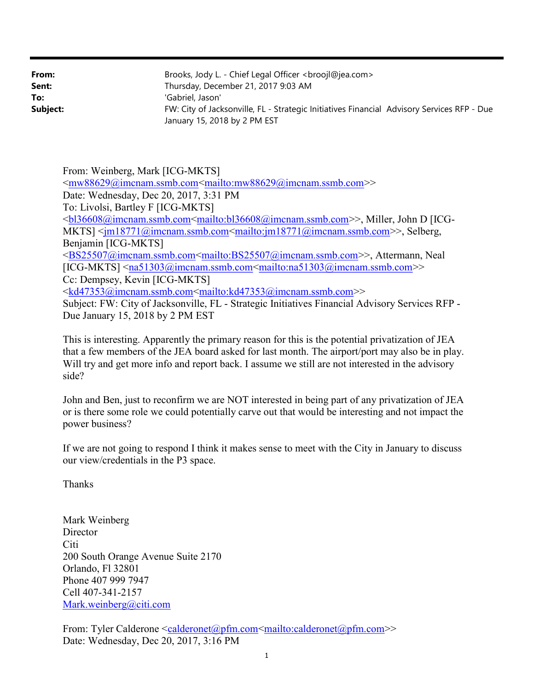| From:    | Brooks, Jody L. - Chief Legal Officer <broojl@jea.com></broojl@jea.com>                                                    |
|----------|----------------------------------------------------------------------------------------------------------------------------|
| Sent:    | Thursday, December 21, 2017 9:03 AM                                                                                        |
| To:      | 'Gabriel, Jason'                                                                                                           |
| Subject: | FW: City of Jacksonville, FL - Strategic Initiatives Financial Advisory Services RFP - Due<br>January 15, 2018 by 2 PM EST |

From: Weinberg, Mark [ICG-MKTS] <mw88629@imcnam.ssmb.com<mailto:mw88629@imcnam.ssmb.com>> Date: Wednesday, Dec 20, 2017, 3:31 PM To: Livolsi, Bartley F [ICG-MKTS] <bl36608@imcnam.ssmb.com<mailto:bl36608@imcnam.ssmb.com>>, Miller, John D [ICG-MKTS] <jm18771@imcnam.ssmb.com<mailto:jm18771@imcnam.ssmb.com>>, Selberg, Benjamin [ICG-MKTS] <BS25507@imcnam.ssmb.com<mailto:BS25507@imcnam.ssmb.com>>, Attermann, Neal  $[ICG-MKTS] \leq na51303@imemann.ssmb.com \leq mailto:na51303@imemann.ssmb.com \geq$ Cc: Dempsey, Kevin [ICG-MKTS] <kd47353@imcnam.ssmb.com<mailto:kd47353@imcnam.ssmb.com>> Subject: FW: City of Jacksonville, FL - Strategic Initiatives Financial Advisory Services RFP - Due January 15, 2018 by 2 PM EST

This is interesting. Apparently the primary reason for this is the potential privatization of JEA that a few members of the JEA board asked for last month. The airport/port may also be in play. Will try and get more info and report back. I assume we still are not interested in the advisory side?

John and Ben, just to reconfirm we are NOT interested in being part of any privatization of JEA or is there some role we could potentially carve out that would be interesting and not impact the power business?

If we are not going to respond I think it makes sense to meet with the City in January to discuss our view/credentials in the P3 space.

Thanks

Mark Weinberg **Director** Citi 200 South Orange Avenue Suite 2170 Orlando, Fl 32801 Phone 407 999 7947 Cell 407-341-2157 Mark.weinberg@citi.com

From: Tyler Calderone <calderonet@pfm.com<mailto:calderonet@pfm.com>> Date: Wednesday, Dec 20, 2017, 3:16 PM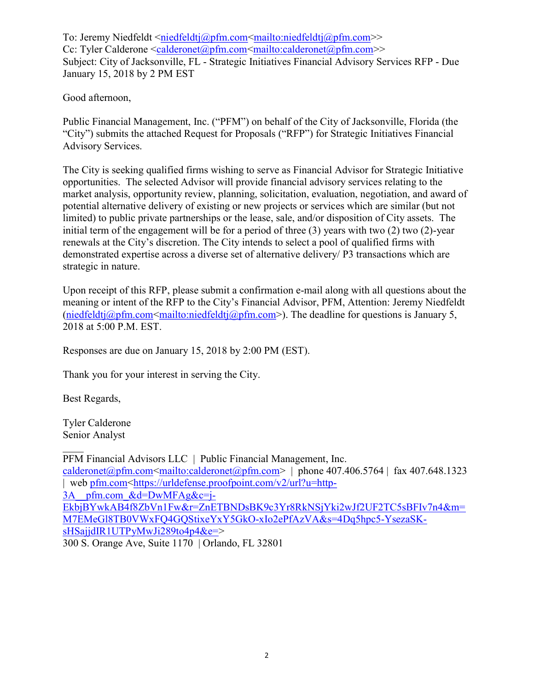To: Jeremy Niedfeldt <niedfeldtj@pfm.com<mailto:niedfeldtj@pfm.com>> Cc: Tyler Calderone <calderonet@pfm.com<mailto:calderonet@pfm.com>> Subject: City of Jacksonville, FL - Strategic Initiatives Financial Advisory Services RFP - Due January 15, 2018 by 2 PM EST

Good afternoon,

Public Financial Management, Inc. ("PFM") on behalf of the City of Jacksonville, Florida (the "City") submits the attached Request for Proposals ("RFP") for Strategic Initiatives Financial Advisory Services.

The City is seeking qualified firms wishing to serve as Financial Advisor for Strategic Initiative opportunities. The selected Advisor will provide financial advisory services relating to the market analysis, opportunity review, planning, solicitation, evaluation, negotiation, and award of potential alternative delivery of existing or new projects or services which are similar (but not limited) to public private partnerships or the lease, sale, and/or disposition of City assets. The initial term of the engagement will be for a period of three (3) years with two (2) two (2)-year renewals at the City's discretion. The City intends to select a pool of qualified firms with demonstrated expertise across a diverse set of alternative delivery/ P3 transactions which are strategic in nature.

Upon receipt of this RFP, please submit a confirmation e-mail along with all questions about the meaning or intent of the RFP to the City's Financial Advisor, PFM, Attention: Jeremy Niedfeldt (niedfeldtj@pfm.com<mailto:niedfeldtj@pfm.com>). The deadline for questions is January 5, 2018 at 5:00 P.M. EST.

Responses are due on January 15, 2018 by 2:00 PM (EST).

Thank you for your interest in serving the City.

Best Regards,

Tyler Calderone Senior Analyst

PFM Financial Advisors LLC | Public Financial Management, Inc. calderonet@pfm.com<mailto:calderonet@pfm.com> | phone 407.406.5764 | fax 407.648.1323 | web pfm.com <https://urldefense.proofpoint.com/v2/url?u=http- $3A$  pfm.com &d=DwMFAg&c=j-EkbjBYwkAB4f8ZbVn1Fw&r=ZnETBNDsBK9c3Yr8RkNSjYki2wJf2UF2TC5sBFIv7n4&m= M7EMeGl8TB0VWxFQ4GQStixeYxY5GkO-xIo2ePfAzVA&s=4Dq5hpc5-YsezaSKsHSajjdIR1UTPyMwJi289to4p4&e=> 300 S. Orange Ave, Suite 1170 | Orlando, FL 32801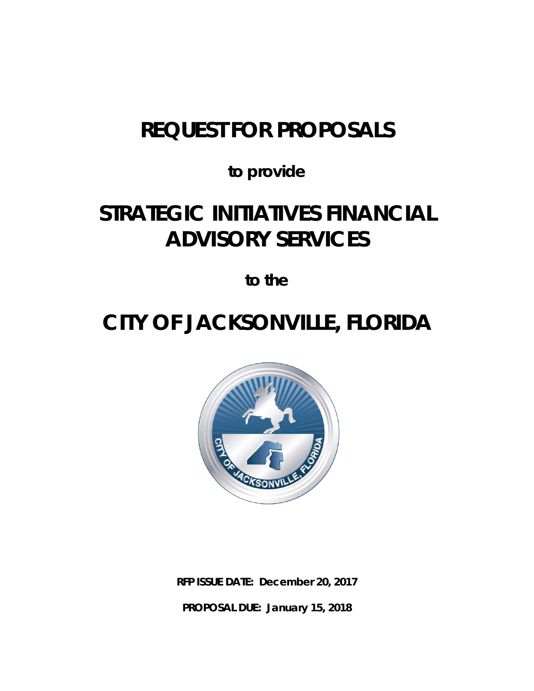# *REQUEST FOR PROPOSALS*

*to provide*

# *STRATEGIC INITIATIVES FINANCIAL ADVISORY SERVICES*

*to the*

# *CITY OF JACKSONVILLE, FLORIDA*



**RFP ISSUE DATE: December 20, 2017 PROPOSAL DUE: January 15, 2018**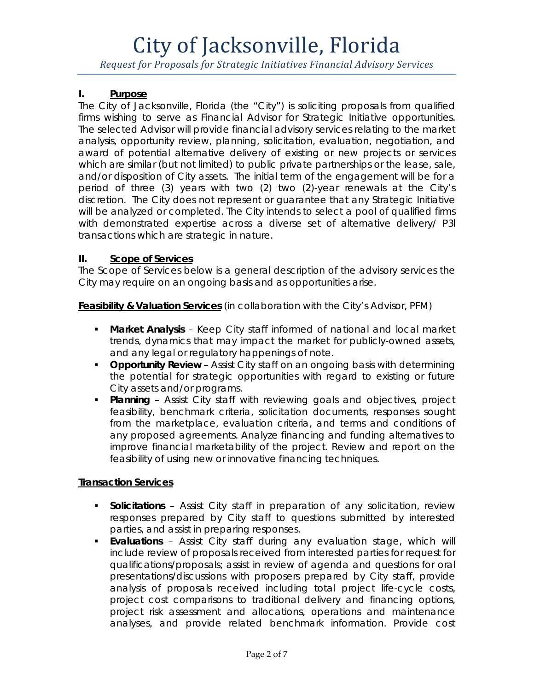*Request for Proposals for Strategic Initiatives Financial Advisory Services*

### **I. Purpose**

The City of Jacksonville, Florida (the "City") is soliciting proposals from qualified firms wishing to serve as Financial Advisor for Strategic Initiative opportunities. The selected Advisor will provide financial advisory services relating to the market analysis, opportunity review, planning, solicitation, evaluation, negotiation, and award of potential alternative delivery of existing or new projects or services which are similar (but not limited) to public private partnerships or the lease, sale, and/or disposition of City assets. The initial term of the engagement will be for a period of three (3) years with two (2) two (2)-year renewals at the City's discretion. The City does not represent or guarantee that any Strategic Initiative will be analyzed or completed. The City intends to select a pool of qualified firms with demonstrated expertise across a diverse set of alternative delivery/ P3l transactions which are strategic in nature.

### **II. Scope of Services**

The Scope of Services below is a general description of the advisory services the City may require on an ongoing basis and as opportunities arise.

**Feasibility & Valuation Services** (in collaboration with the City's Advisor, PFM)

- **Market Analysis** Keep City staff informed of national and local market trends, dynamics that may impact the market for publicly-owned assets, and any legal or regulatory happenings of note.
- **Opportunity Review** Assist City staff on an ongoing basis with determining the potential for strategic opportunities with regard to existing or future City assets and/or programs.
- **Planning** Assist City staff with reviewing goals and objectives, project feasibility, benchmark criteria, solicitation documents, responses sought from the marketplace, evaluation criteria, and terms and conditions of any proposed agreements. Analyze financing and funding alternatives to improve financial marketability of the project. Review and report on the feasibility of using new or innovative financing techniques.

#### **Transaction Services**

- **Solicitations**  Assist City staff in preparation of any solicitation, review responses prepared by City staff to questions submitted by interested parties, and assist in preparing responses.
- **Evaluations**  Assist City staff during any evaluation stage, which will include review of proposals received from interested parties for request for qualifications/proposals; assist in review of agenda and questions for oral presentations/discussions with proposers prepared by City staff, provide analysis of proposals received including total project life-cycle costs, project cost comparisons to traditional delivery and financing options, project risk assessment and allocations, operations and maintenance analyses, and provide related benchmark information. Provide cost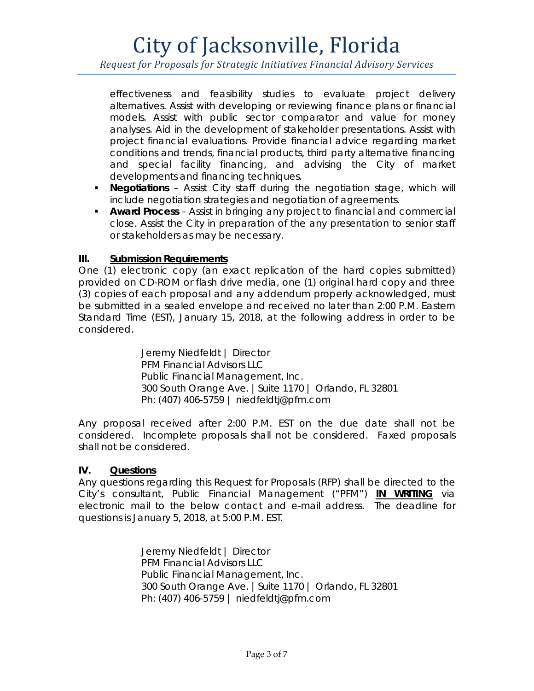*Request for Proposals for Strategic Initiatives Financial Advisory Services*

effectiveness and feasibility studies to evaluate project delivery alternatives. Assist with developing or reviewing finance plans or financial models. Assist with public sector comparator and value for money analyses. Aid in the development of stakeholder presentations. Assist with project financial evaluations. Provide financial advice regarding market conditions and trends, financial products, third party alternative financing and special facility financing, and advising the City of market developments and financing techniques.

- **Negotiations**  Assist City staff during the negotiation stage, which will include negotiation strategies and negotiation of agreements.
- **Award Process**  Assist in bringing any project to financial and commercial close. Assist the City in preparation of the any presentation to senior staff or stakeholders as may be necessary.

# **III. Submission Requirements**

One (1) electronic copy (an exact replication of the hard copies submitted) provided on CD-ROM or flash drive media, one (1) original hard copy and three (3) copies of each proposal and any addendum properly acknowledged, must be submitted in a sealed envelope and received no later than 2:00 P.M. Eastern Standard Time (EST), January 15, 2018, at the following address in order to be considered.

> Jeremy Niedfeldt | Director PFM Financial Advisors LLC Public Financial Management, Inc. 300 South Orange Ave. |Suite 1170 | Orlando, FL 32801 Ph: (407) 406-5759 | [niedfeldtj@pfm.com](mailto:niedfeldtj@pfm.com)

Any proposal received after 2:00 P.M. EST on the due date shall not be considered. Incomplete proposals shall not be considered. Faxed proposals shall not be considered.

#### **IV. Questions**

Any questions regarding this Request for Proposals (RFP) shall be directed to the City's consultant, Public Financial Management ("PFM") **IN WRITING** via electronic mail to the below contact and e-mail address. The deadline for questions is January 5, 2018, at 5:00 P.M. EST.

> Jeremy Niedfeldt | Director PFM Financial Advisors LLC Public Financial Management, Inc. 300 South Orange Ave. |Suite 1170 | Orlando, FL 32801 Ph: (407) 406-5759 | [niedfeldtj@pfm.com](mailto:niedfeldtj@pfm.com)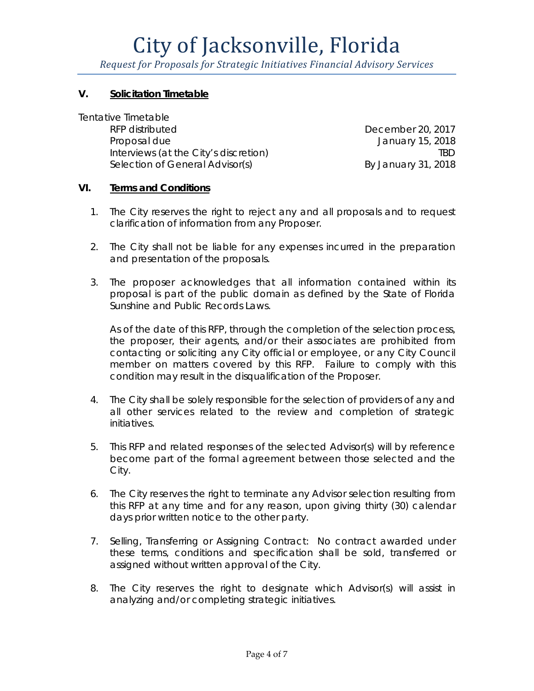*Request for Proposals for Strategic Initiatives Financial Advisory Services*

### **V. Solicitation Timetable**

Tentative Timetable

RFP distributed December 20, 2017 Proposal due **International Contract Contract Contract Contract Contract Contract Contract Contract Contract Contract Contract Contract Contract Contract Contract Contract Contract Contract Contract Contract Contract Contr** Interviews (at the City's discretion) TBD Selection of General Advisor(s) By January 31, 2018

#### **VI. Terms and Conditions**

- 1. The City reserves the right to reject any and all proposals and to request clarification of information from any Proposer.
- 2. The City shall not be liable for any expenses incurred in the preparation and presentation of the proposals.
- 3. The proposer acknowledges that all information contained within its proposal is part of the public domain as defined by the State of Florida Sunshine and Public Records Laws.

As of the date of this RFP, through the completion of the selection process, the proposer, their agents, and/or their associates are prohibited from contacting or soliciting any City official or employee, or any City Council member on matters covered by this RFP. Failure to comply with this condition may result in the disqualification of the Proposer.

- 4. The City shall be solely responsible for the selection of providers of any and all other services related to the review and completion of strategic initiatives.
- 5. This RFP and related responses of the selected Advisor(s) will by reference become part of the formal agreement between those selected and the City.
- 6. The City reserves the right to terminate any Advisor selection resulting from this RFP at any time and for any reason, upon giving thirty (30) calendar days prior written notice to the other party.
- 7. Selling, Transferring or Assigning Contract: No contract awarded under these terms, conditions and specification shall be sold, transferred or assigned without written approval of the City.
- 8. The City reserves the right to designate which Advisor(s) will assist in analyzing and/or completing strategic initiatives.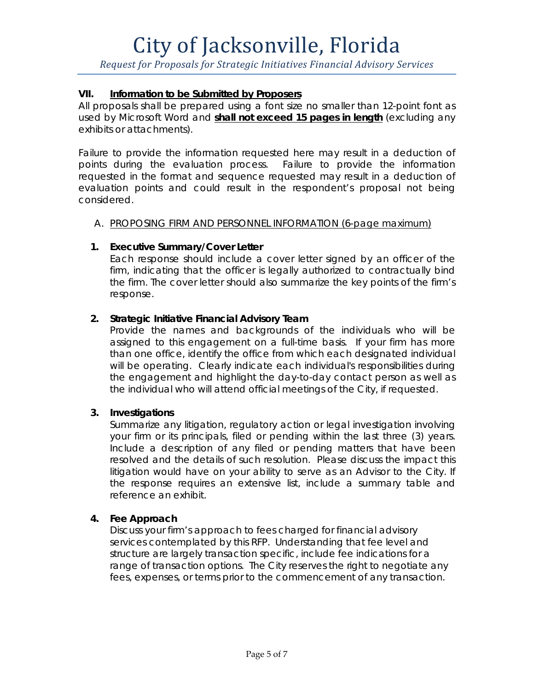*Request for Proposals for Strategic Initiatives Financial Advisory Services*

# **VII. Information to be Submitted by Proposers**

All proposals shall be prepared using a font size no smaller than 12-point font as used by Microsoft Word and **shall not exceed 15 pages in length** (excluding any exhibits or attachments).

Failure to provide the information requested here may result in a deduction of points during the evaluation process. Failure to provide the information requested in the format and sequence requested may result in a deduction of evaluation points and could result in the respondent's proposal not being considered.

# A. PROPOSING FIRM AND PERSONNEL INFORMATION (6-page maximum)

# **1. Executive Summary/Cover Letter**

Each response should include a cover letter signed by an officer of the firm, indicating that the officer is legally authorized to contractually bind the firm. The cover letter should also summarize the key points of the firm's response.

### **2. Strategic Initiative Financial Advisory Team**

Provide the names and backgrounds of the individuals who will be assigned to this engagement on a full-time basis. If your firm has more than one office, identify the office from which each designated individual will be operating. Clearly indicate each individual's responsibilities during the engagement and highlight the day-to-day contact person as well as the individual who will attend official meetings of the City, if requested.

# **3. Investigations**

Summarize any litigation, regulatory action or legal investigation involving your firm or its principals, filed or pending within the last three (3) years. Include a description of any filed or pending matters that have been resolved and the details of such resolution. Please discuss the impact this litigation would have on your ability to serve as an Advisor to the City. If the response requires an extensive list, include a summary table and reference an exhibit.

# **4. Fee Approach**

Discuss your firm's approach to fees charged for financial advisory services contemplated by this RFP. Understanding that fee level and structure are largely transaction specific, include fee indications for a range of transaction options. *The City reserves the right to negotiate any fees, expenses, or terms prior to the commencement of any transaction.*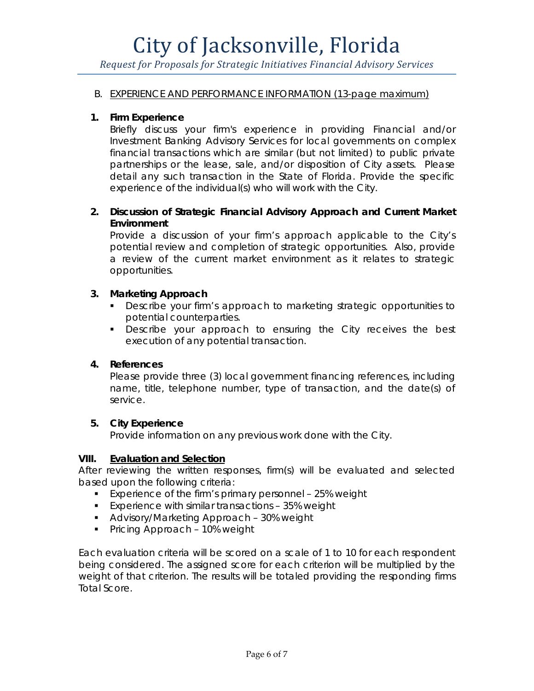*Request for Proposals for Strategic Initiatives Financial Advisory Services*

#### B. EXPERIENCE AND PERFORMANCE INFORMATION (13-page maximum)

#### **1. Firm Experience**

Briefly discuss your firm's experience in providing Financial and/or Investment Banking Advisory Services for local governments on complex financial transactions which are similar (but not limited) to public private partnerships or the lease, sale, and/or disposition of City assets. Please detail any such transaction in the State of Florida. Provide the specific experience of the individual(s) who will work with the City.

## **2. Discussion of Strategic Financial Advisory Approach and Current Market Environment**

Provide a discussion of your firm's approach applicable to the City's potential review and completion of strategic opportunities. Also, provide a review of the current market environment as it relates to strategic opportunities.

### **3. Marketing Approach**

- **Describe your firm's approach to marketing strategic opportunities to** potential counterparties.
- **Describe your approach to ensuring the City receives the best** execution of any potential transaction.

#### **4. References**

Please provide three (3) local government financing references, including name, title, telephone number, type of transaction, and the date(s) of service.

#### **5. City Experience**

Provide information on any previous work done with the City.

#### **VIII. Evaluation and Selection**

After reviewing the written responses, firm(s) will be evaluated and selected based upon the following criteria:

- **Experience of the firm's primary personnel 25% weight**
- **Experience with similar transactions 35% weight**
- **Advisory/Marketing Approach 30% weight**
- **Pricing Approach 10% weight**

Each evaluation criteria will be scored on a scale of 1 to 10 for each respondent being considered. The assigned score for each criterion will be multiplied by the weight of that criterion. The results will be totaled providing the responding firms Total Score.